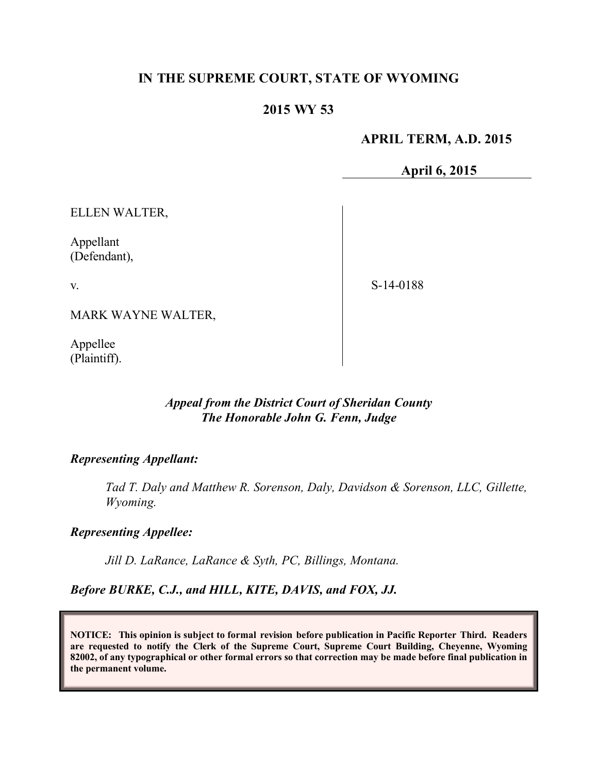## **IN THE SUPREME COURT, STATE OF WYOMING**

## **2015 WY 53**

#### **APRIL TERM, A.D. 2015**

**April 6, 2015**

ELLEN WALTER,

Appellant (Defendant),

v.

S-14-0188

MARK WAYNE WALTER,

Appellee (Plaintiff).

## *Appeal from the District Court of Sheridan County The Honorable John G. Fenn, Judge*

#### *Representing Appellant:*

*Tad T. Daly and Matthew R. Sorenson, Daly, Davidson & Sorenson, LLC, Gillette, Wyoming.*

### *Representing Appellee:*

*Jill D. LaRance, LaRance & Syth, PC, Billings, Montana.*

*Before BURKE, C.J., and HILL, KITE, DAVIS, and FOX, JJ.*

**NOTICE: This opinion is subject to formal revision before publication in Pacific Reporter Third. Readers are requested to notify the Clerk of the Supreme Court, Supreme Court Building, Cheyenne, Wyoming 82002, of any typographical or other formal errors so that correction may be made before final publication in the permanent volume.**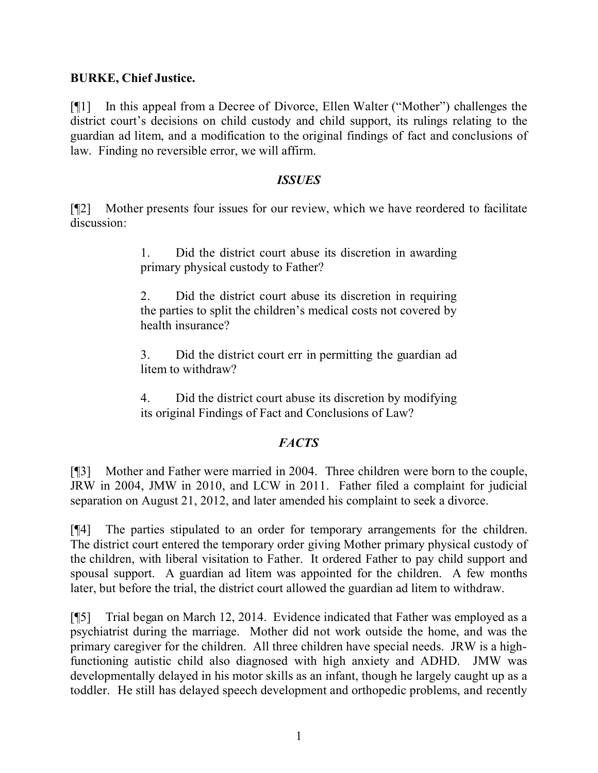#### **BURKE, Chief Justice.**

[¶1] In this appeal from a Decree of Divorce, Ellen Walter ("Mother") challenges the district court's decisions on child custody and child support, its rulings relating to the guardian ad litem, and a modification to the original findings of fact and conclusions of law. Finding no reversible error, we will affirm.

#### *ISSUES*

[¶2] Mother presents four issues for our review, which we have reordered to facilitate discussion:

> 1. Did the district court abuse its discretion in awarding primary physical custody to Father?

> 2. Did the district court abuse its discretion in requiring the parties to split the children's medical costs not covered by health insurance?

> 3. Did the district court err in permitting the guardian ad litem to withdraw?

> 4. Did the district court abuse its discretion by modifying its original Findings of Fact and Conclusions of Law?

#### *FACTS*

[¶3] Mother and Father were married in 2004. Three children were born to the couple, JRW in 2004, JMW in 2010, and LCW in 2011. Father filed a complaint for judicial separation on August 21, 2012, and later amended his complaint to seek a divorce.

[¶4] The parties stipulated to an order for temporary arrangements for the children. The district court entered the temporary order giving Mother primary physical custody of the children, with liberal visitation to Father. It ordered Father to pay child support and spousal support. A guardian ad litem was appointed for the children. A few months later, but before the trial, the district court allowed the guardian ad litem to withdraw.

[¶5] Trial began on March 12, 2014. Evidence indicated that Father was employed as a psychiatrist during the marriage. Mother did not work outside the home, and was the primary caregiver for the children. All three children have special needs. JRW is a highfunctioning autistic child also diagnosed with high anxiety and ADHD. JMW was developmentally delayed in his motor skills as an infant, though he largely caught up as a toddler. He still has delayed speech development and orthopedic problems, and recently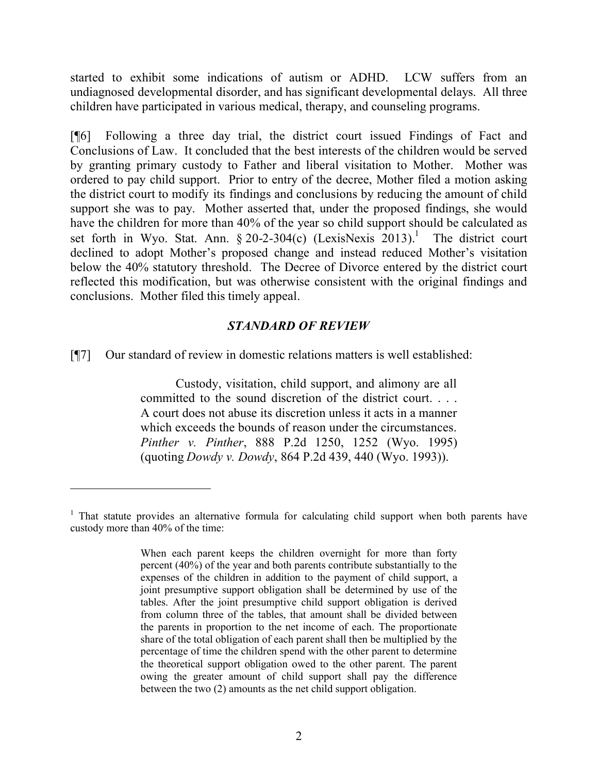started to exhibit some indications of autism or ADHD. LCW suffers from an undiagnosed developmental disorder, and has significant developmental delays. All three children have participated in various medical, therapy, and counseling programs.

[¶6] Following a three day trial, the district court issued Findings of Fact and Conclusions of Law. It concluded that the best interests of the children would be served by granting primary custody to Father and liberal visitation to Mother. Mother was ordered to pay child support. Prior to entry of the decree, Mother filed a motion asking the district court to modify its findings and conclusions by reducing the amount of child support she was to pay. Mother asserted that, under the proposed findings, she would have the children for more than 40% of the year so child support should be calculated as set forth in Wyo. Stat. Ann.  $\S 20-2-304(c)$  (LexisNexis 2013).<sup>1</sup> The district court declined to adopt Mother's proposed change and instead reduced Mother's visitation below the 40% statutory threshold. The Decree of Divorce entered by the district court reflected this modification, but was otherwise consistent with the original findings and conclusions. Mother filed this timely appeal.

#### *STANDARD OF REVIEW*

[¶7] Our standard of review in domestic relations matters is well established:

 $\overline{a}$ 

Custody, visitation, child support, and alimony are all committed to the sound discretion of the district court. . . . A court does not abuse its discretion unless it acts in a manner which exceeds the bounds of reason under the circumstances. *Pinther v. Pinther*, 888 P.2d 1250, 1252 (Wyo. 1995) (quoting *Dowdy v. Dowdy*, 864 P.2d 439, 440 (Wyo. 1993)).

<sup>&</sup>lt;sup>1</sup> That statute provides an alternative formula for calculating child support when both parents have custody more than 40% of the time:

When each parent keeps the children overnight for more than forty percent (40%) of the year and both parents contribute substantially to the expenses of the children in addition to the payment of child support, a joint presumptive support obligation shall be determined by use of the tables. After the joint presumptive child support obligation is derived from column three of the tables, that amount shall be divided between the parents in proportion to the net income of each. The proportionate share of the total obligation of each parent shall then be multiplied by the percentage of time the children spend with the other parent to determine the theoretical support obligation owed to the other parent. The parent owing the greater amount of child support shall pay the difference between the two (2) amounts as the net child support obligation.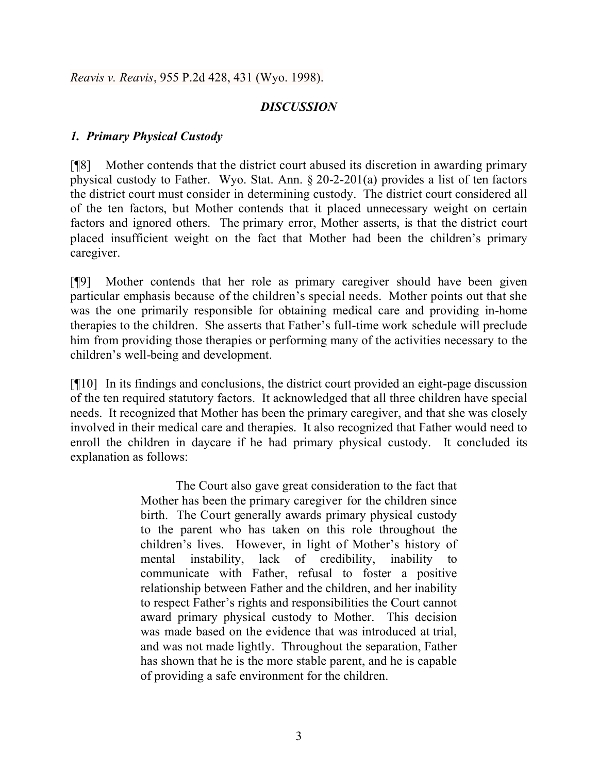*Reavis v. Reavis*, 955 P.2d 428, 431 (Wyo. 1998).

## *DISCUSSION*

## *1. Primary Physical Custody*

[¶8] Mother contends that the district court abused its discretion in awarding primary physical custody to Father. Wyo. Stat. Ann. § 20-2-201(a) provides a list of ten factors the district court must consider in determining custody. The district court considered all of the ten factors, but Mother contends that it placed unnecessary weight on certain factors and ignored others. The primary error, Mother asserts, is that the district court placed insufficient weight on the fact that Mother had been the children's primary caregiver.

[¶9] Mother contends that her role as primary caregiver should have been given particular emphasis because of the children's special needs. Mother points out that she was the one primarily responsible for obtaining medical care and providing in-home therapies to the children. She asserts that Father's full-time work schedule will preclude him from providing those therapies or performing many of the activities necessary to the children's well-being and development.

[¶10] In its findings and conclusions, the district court provided an eight-page discussion of the ten required statutory factors. It acknowledged that all three children have special needs. It recognized that Mother has been the primary caregiver, and that she was closely involved in their medical care and therapies. It also recognized that Father would need to enroll the children in daycare if he had primary physical custody. It concluded its explanation as follows:

> The Court also gave great consideration to the fact that Mother has been the primary caregiver for the children since birth. The Court generally awards primary physical custody to the parent who has taken on this role throughout the children's lives. However, in light of Mother's history of mental instability, lack of credibility, inability to communicate with Father, refusal to foster a positive relationship between Father and the children, and her inability to respect Father's rights and responsibilities the Court cannot award primary physical custody to Mother. This decision was made based on the evidence that was introduced at trial, and was not made lightly. Throughout the separation, Father has shown that he is the more stable parent, and he is capable of providing a safe environment for the children.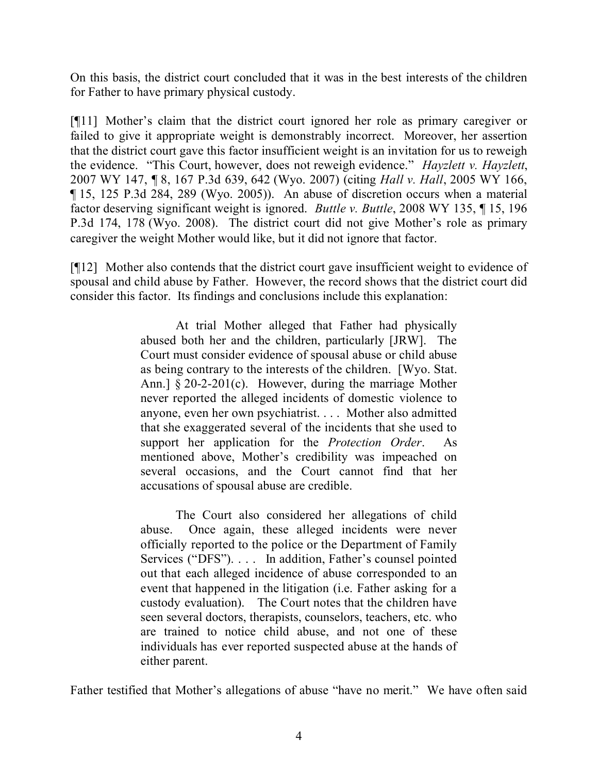On this basis, the district court concluded that it was in the best interests of the children for Father to have primary physical custody.

[¶11] Mother's claim that the district court ignored her role as primary caregiver or failed to give it appropriate weight is demonstrably incorrect. Moreover, her assertion that the district court gave this factor insufficient weight is an invitation for us to reweigh the evidence. "This Court, however, does not reweigh evidence." *Hayzlett v. Hayzlett*, 2007 WY 147, ¶ 8, 167 P.3d 639, 642 (Wyo. 2007) (citing *Hall v. Hall*, 2005 WY 166, ¶ 15, 125 P.3d 284, 289 (Wyo. 2005)). An abuse of discretion occurs when a material factor deserving significant weight is ignored. *Buttle v. Buttle*, 2008 WY 135, ¶ 15, 196 P.3d 174, 178 (Wyo. 2008). The district court did not give Mother's role as primary caregiver the weight Mother would like, but it did not ignore that factor.

[¶12] Mother also contends that the district court gave insufficient weight to evidence of spousal and child abuse by Father. However, the record shows that the district court did consider this factor. Its findings and conclusions include this explanation:

> At trial Mother alleged that Father had physically abused both her and the children, particularly [JRW]. The Court must consider evidence of spousal abuse or child abuse as being contrary to the interests of the children. [Wyo. Stat. Ann.]  $\S 20-2-201(c)$ . However, during the marriage Mother never reported the alleged incidents of domestic violence to anyone, even her own psychiatrist. . . . Mother also admitted that she exaggerated several of the incidents that she used to support her application for the *Protection Order*. As mentioned above, Mother's credibility was impeached on several occasions, and the Court cannot find that her accusations of spousal abuse are credible.

> The Court also considered her allegations of child abuse. Once again, these alleged incidents were never officially reported to the police or the Department of Family Services ("DFS"). . . . In addition, Father's counsel pointed out that each alleged incidence of abuse corresponded to an event that happened in the litigation (i.e. Father asking for a custody evaluation). The Court notes that the children have seen several doctors, therapists, counselors, teachers, etc. who are trained to notice child abuse, and not one of these individuals has ever reported suspected abuse at the hands of either parent.

Father testified that Mother's allegations of abuse "have no merit." We have often said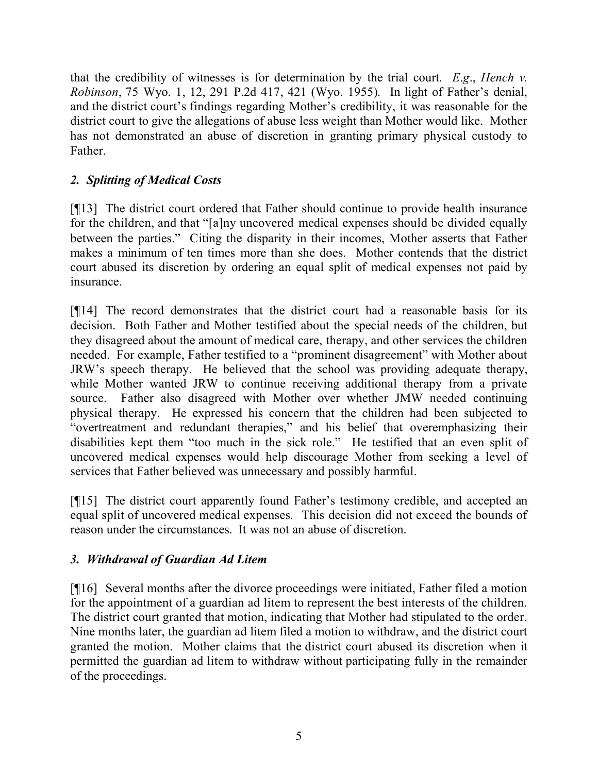that the credibility of witnesses is for determination by the trial court. *E*.*g*., *Hench v. Robinson*, 75 Wyo. 1, 12, 291 P.2d 417, 421 (Wyo. 1955). In light of Father's denial, and the district court's findings regarding Mother's credibility, it was reasonable for the district court to give the allegations of abuse less weight than Mother would like. Mother has not demonstrated an abuse of discretion in granting primary physical custody to Father.

# *2. Splitting of Medical Costs*

[¶13] The district court ordered that Father should continue to provide health insurance for the children, and that "[a]ny uncovered medical expenses should be divided equally between the parties." Citing the disparity in their incomes, Mother asserts that Father makes a minimum of ten times more than she does. Mother contends that the district court abused its discretion by ordering an equal split of medical expenses not paid by insurance.

[¶14] The record demonstrates that the district court had a reasonable basis for its decision. Both Father and Mother testified about the special needs of the children, but they disagreed about the amount of medical care, therapy, and other services the children needed. For example, Father testified to a "prominent disagreement" with Mother about JRW's speech therapy. He believed that the school was providing adequate therapy, while Mother wanted JRW to continue receiving additional therapy from a private source. Father also disagreed with Mother over whether JMW needed continuing physical therapy. He expressed his concern that the children had been subjected to "overtreatment and redundant therapies," and his belief that overemphasizing their disabilities kept them "too much in the sick role." He testified that an even split of uncovered medical expenses would help discourage Mother from seeking a level of services that Father believed was unnecessary and possibly harmful.

[¶15] The district court apparently found Father's testimony credible, and accepted an equal split of uncovered medical expenses. This decision did not exceed the bounds of reason under the circumstances. It was not an abuse of discretion.

# *3. Withdrawal of Guardian Ad Litem*

[¶16] Several months after the divorce proceedings were initiated, Father filed a motion for the appointment of a guardian ad litem to represent the best interests of the children. The district court granted that motion, indicating that Mother had stipulated to the order. Nine months later, the guardian ad litem filed a motion to withdraw, and the district court granted the motion. Mother claims that the district court abused its discretion when it permitted the guardian ad litem to withdraw without participating fully in the remainder of the proceedings.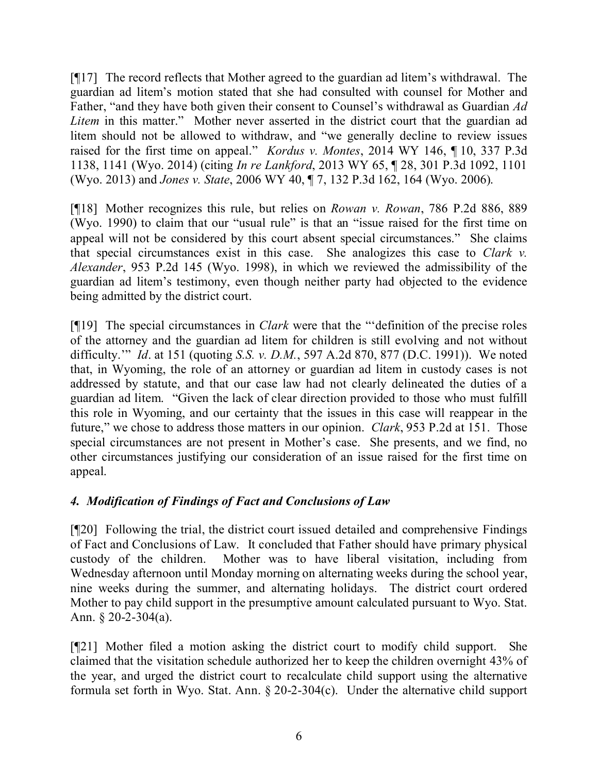[¶17] The record reflects that Mother agreed to the guardian ad litem's withdrawal. The guardian ad litem's motion stated that she had consulted with counsel for Mother and Father, "and they have both given their consent to Counsel's withdrawal as Guardian *Ad Litem* in this matter." Mother never asserted in the district court that the guardian ad litem should not be allowed to withdraw, and "we generally decline to review issues raised for the first time on appeal." *Kordus v. Montes*, 2014 WY 146, ¶ 10, 337 P.3d 1138, 1141 (Wyo. 2014) (citing *In re Lankford*, 2013 WY 65, ¶ 28, 301 P.3d 1092, 1101 (Wyo. 2013) and *Jones v. State*, 2006 WY 40, ¶ 7, 132 P.3d 162, 164 (Wyo. 2006).

[¶18] Mother recognizes this rule, but relies on *Rowan v. Rowan*, 786 P.2d 886, 889 (Wyo. 1990) to claim that our "usual rule" is that an "issue raised for the first time on appeal will not be considered by this court absent special circumstances." She claims that special circumstances exist in this case. She analogizes this case to *Clark v. Alexander*, 953 P.2d 145 (Wyo. 1998), in which we reviewed the admissibility of the guardian ad litem's testimony, even though neither party had objected to the evidence being admitted by the district court.

[¶19] The special circumstances in *Clark* were that the "'definition of the precise roles of the attorney and the guardian ad litem for children is still evolving and not without difficulty.'" *Id*. at 151 (quoting *S.S. v. D.M.*, 597 A.2d 870, 877 (D.C. 1991)). We noted that, in Wyoming, the role of an attorney or guardian ad litem in custody cases is not addressed by statute, and that our case law had not clearly delineated the duties of a guardian ad litem. "Given the lack of clear direction provided to those who must fulfill this role in Wyoming, and our certainty that the issues in this case will reappear in the future," we chose to address those matters in our opinion. *Clark*, 953 P.2d at 151. Those special circumstances are not present in Mother's case. She presents, and we find, no other circumstances justifying our consideration of an issue raised for the first time on appeal.

# *4. Modification of Findings of Fact and Conclusions of Law*

[¶20] Following the trial, the district court issued detailed and comprehensive Findings of Fact and Conclusions of Law. It concluded that Father should have primary physical custody of the children. Mother was to have liberal visitation, including from Wednesday afternoon until Monday morning on alternating weeks during the school year, nine weeks during the summer, and alternating holidays. The district court ordered Mother to pay child support in the presumptive amount calculated pursuant to Wyo. Stat. Ann.  $\S 20-2-304(a)$ .

[¶21] Mother filed a motion asking the district court to modify child support. She claimed that the visitation schedule authorized her to keep the children overnight 43% of the year, and urged the district court to recalculate child support using the alternative formula set forth in Wyo. Stat. Ann. § 20-2-304(c). Under the alternative child support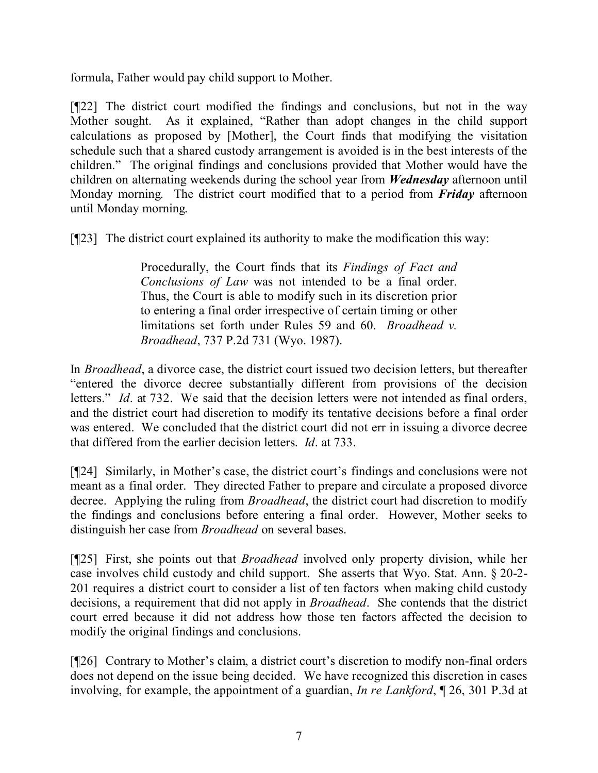formula, Father would pay child support to Mother.

[¶22] The district court modified the findings and conclusions, but not in the way Mother sought. As it explained, "Rather than adopt changes in the child support calculations as proposed by [Mother], the Court finds that modifying the visitation schedule such that a shared custody arrangement is avoided is in the best interests of the children." The original findings and conclusions provided that Mother would have the children on alternating weekends during the school year from *Wednesday* afternoon until Monday morning. The district court modified that to a period from *Friday* afternoon until Monday morning.

[¶23] The district court explained its authority to make the modification this way:

Procedurally, the Court finds that its *Findings of Fact and Conclusions of Law* was not intended to be a final order. Thus, the Court is able to modify such in its discretion prior to entering a final order irrespective of certain timing or other limitations set forth under Rules 59 and 60. *Broadhead v. Broadhead*, 737 P.2d 731 (Wyo. 1987).

In *Broadhead*, a divorce case, the district court issued two decision letters, but thereafter "entered the divorce decree substantially different from provisions of the decision letters." *Id.* at 732. We said that the decision letters were not intended as final orders, and the district court had discretion to modify its tentative decisions before a final order was entered. We concluded that the district court did not err in issuing a divorce decree that differed from the earlier decision letters. *Id*. at 733.

[¶24] Similarly, in Mother's case, the district court's findings and conclusions were not meant as a final order. They directed Father to prepare and circulate a proposed divorce decree. Applying the ruling from *Broadhead*, the district court had discretion to modify the findings and conclusions before entering a final order. However, Mother seeks to distinguish her case from *Broadhead* on several bases.

[¶25] First, she points out that *Broadhead* involved only property division, while her case involves child custody and child support. She asserts that Wyo. Stat. Ann. § 20-2- 201 requires a district court to consider a list of ten factors when making child custody decisions, a requirement that did not apply in *Broadhead*. She contends that the district court erred because it did not address how those ten factors affected the decision to modify the original findings and conclusions.

[¶26] Contrary to Mother's claim, a district court's discretion to modify non-final orders does not depend on the issue being decided. We have recognized this discretion in cases involving, for example, the appointment of a guardian, *In re Lankford*, ¶ 26, 301 P.3d at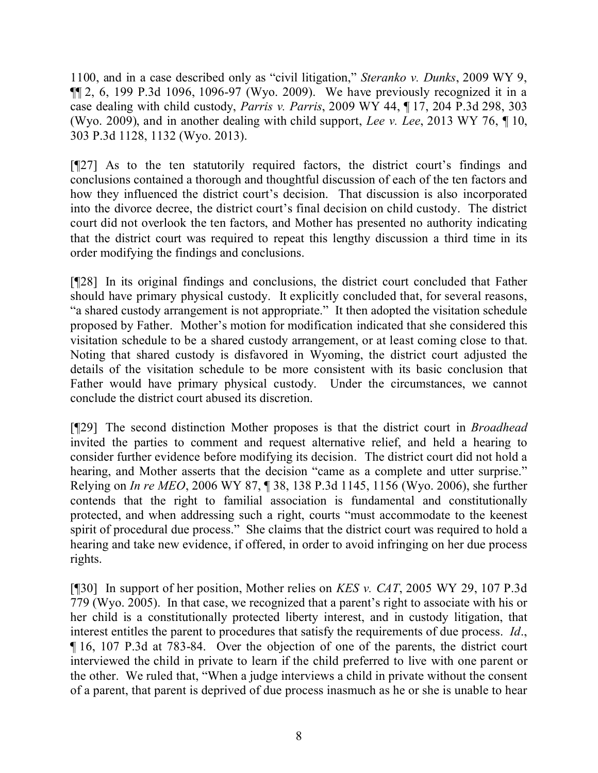1100, and in a case described only as "civil litigation," *Steranko v. Dunks*, 2009 WY 9,  $\P$ [2, 6, 199 P.3d 1096, 1096-97 (Wyo. 2009). We have previously recognized it in a case dealing with child custody, *Parris v. Parris*, 2009 WY 44, ¶ 17, 204 P.3d 298, 303 (Wyo. 2009), and in another dealing with child support, *Lee v. Lee*, 2013 WY 76, ¶ 10, 303 P.3d 1128, 1132 (Wyo. 2013).

[¶27] As to the ten statutorily required factors, the district court's findings and conclusions contained a thorough and thoughtful discussion of each of the ten factors and how they influenced the district court's decision. That discussion is also incorporated into the divorce decree, the district court's final decision on child custody. The district court did not overlook the ten factors, and Mother has presented no authority indicating that the district court was required to repeat this lengthy discussion a third time in its order modifying the findings and conclusions.

[¶28] In its original findings and conclusions, the district court concluded that Father should have primary physical custody. It explicitly concluded that, for several reasons, "a shared custody arrangement is not appropriate." It then adopted the visitation schedule proposed by Father. Mother's motion for modification indicated that she considered this visitation schedule to be a shared custody arrangement, or at least coming close to that. Noting that shared custody is disfavored in Wyoming, the district court adjusted the details of the visitation schedule to be more consistent with its basic conclusion that Father would have primary physical custody. Under the circumstances, we cannot conclude the district court abused its discretion.

[¶29] The second distinction Mother proposes is that the district court in *Broadhead* invited the parties to comment and request alternative relief, and held a hearing to consider further evidence before modifying its decision. The district court did not hold a hearing, and Mother asserts that the decision "came as a complete and utter surprise." Relying on *In re MEO*, 2006 WY 87, ¶ 38, 138 P.3d 1145, 1156 (Wyo. 2006), she further contends that the right to familial association is fundamental and constitutionally protected, and when addressing such a right, courts "must accommodate to the keenest spirit of procedural due process." She claims that the district court was required to hold a hearing and take new evidence, if offered, in order to avoid infringing on her due process rights.

[¶30] In support of her position, Mother relies on *KES v. CAT*, 2005 WY 29, 107 P.3d 779 (Wyo. 2005). In that case, we recognized that a parent's right to associate with his or her child is a constitutionally protected liberty interest, and in custody litigation, that interest entitles the parent to procedures that satisfy the requirements of due process. *Id*., ¶ 16, 107 P.3d at 783-84. Over the objection of one of the parents, the district court interviewed the child in private to learn if the child preferred to live with one parent or the other. We ruled that, "When a judge interviews a child in private without the consent of a parent, that parent is deprived of due process inasmuch as he or she is unable to hear